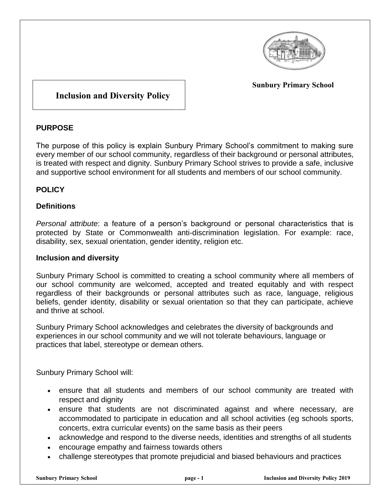

**Sunbury Primary School**

# **Inclusion and Diversity Policy**

## **PURPOSE**

The purpose of this policy is explain Sunbury Primary School's commitment to making sure every member of our school community, regardless of their background or personal attributes, is treated with respect and dignity. Sunbury Primary School strives to provide a safe, inclusive and supportive school environment for all students and members of our school community.

### **POLICY**

#### **Definitions**

*Personal attribute*: a feature of a person's background or personal characteristics that is protected by State or Commonwealth anti-discrimination legislation. For example: race, disability, sex, sexual orientation, gender identity, religion etc.

#### **Inclusion and diversity**

Sunbury Primary School is committed to creating a school community where all members of our school community are welcomed, accepted and treated equitably and with respect regardless of their backgrounds or personal attributes such as race, language, religious beliefs, gender identity, disability or sexual orientation so that they can participate, achieve and thrive at school.

Sunbury Primary School acknowledges and celebrates the diversity of backgrounds and experiences in our school community and we will not tolerate behaviours, language or practices that label, stereotype or demean others.

Sunbury Primary School will:

- ensure that all students and members of our school community are treated with respect and dignity
- ensure that students are not discriminated against and where necessary, are accommodated to participate in education and all school activities (eg schools sports, concerts, extra curricular events) on the same basis as their peers
- acknowledge and respond to the diverse needs, identities and strengths of all students
- encourage empathy and fairness towards others
- challenge stereotypes that promote prejudicial and biased behaviours and practices